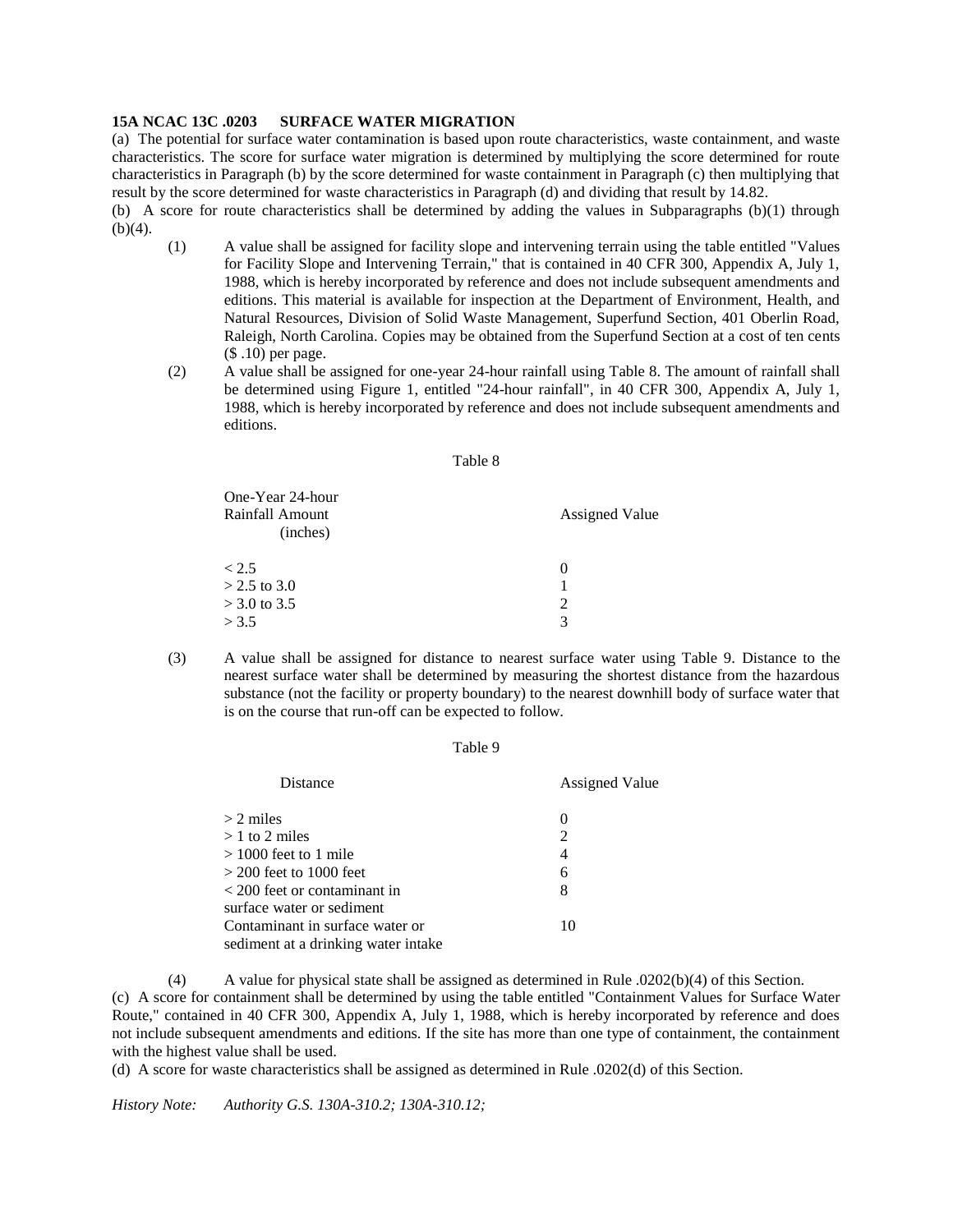## **15A NCAC 13C .0203 SURFACE WATER MIGRATION**

(a) The potential for surface water contamination is based upon route characteristics, waste containment, and waste characteristics. The score for surface water migration is determined by multiplying the score determined for route characteristics in Paragraph (b) by the score determined for waste containment in Paragraph (c) then multiplying that result by the score determined for waste characteristics in Paragraph (d) and dividing that result by 14.82.

(b) A score for route characteristics shall be determined by adding the values in Subparagraphs (b)(1) through  $(b)(4)$ .

- (1) A value shall be assigned for facility slope and intervening terrain using the table entitled "Values for Facility Slope and Intervening Terrain," that is contained in 40 CFR 300, Appendix A, July 1, 1988, which is hereby incorporated by reference and does not include subsequent amendments and editions. This material is available for inspection at the Department of Environment, Health, and Natural Resources, Division of Solid Waste Management, Superfund Section, 401 Oberlin Road, Raleigh, North Carolina. Copies may be obtained from the Superfund Section at a cost of ten cents (\$ .10) per page.
- (2) A value shall be assigned for one-year 24-hour rainfall using Table 8. The amount of rainfall shall be determined using Figure 1, entitled "24-hour rainfall", in 40 CFR 300, Appendix A, July 1, 1988, which is hereby incorporated by reference and does not include subsequent amendments and editions.

## Table 8

| <b>Assigned Value</b>       |
|-----------------------------|
| $\theta$                    |
|                             |
| $\mathcal{D}_{\mathcal{L}}$ |
| 3                           |
|                             |

(3) A value shall be assigned for distance to nearest surface water using Table 9. Distance to the nearest surface water shall be determined by measuring the shortest distance from the hazardous substance (not the facility or property boundary) to the nearest downhill body of surface water that is on the course that run-off can be expected to follow.

## Table 9

| Distance                                     | <b>Assigned Value</b> |
|----------------------------------------------|-----------------------|
| $> 2$ miles                                  | $\left($              |
| $>1$ to 2 miles                              | $\overline{2}$        |
| $> 1000$ feet to 1 mile                      | 4                     |
| $>$ 200 feet to 1000 feet                    | 6                     |
| $\langle 200 \rangle$ feet or contaminant in | 8                     |
| surface water or sediment                    |                       |
| Contaminant in surface water or              | 10                    |
| sediment at a drinking water intake          |                       |

(4) A value for physical state shall be assigned as determined in Rule .0202(b)(4) of this Section. (c) A score for containment shall be determined by using the table entitled "Containment Values for Surface Water Route," contained in 40 CFR 300, Appendix A, July 1, 1988, which is hereby incorporated by reference and does not include subsequent amendments and editions. If the site has more than one type of containment, the containment with the highest value shall be used.

(d) A score for waste characteristics shall be assigned as determined in Rule .0202(d) of this Section.

*History Note: Authority G.S. 130A-310.2; 130A-310.12;*